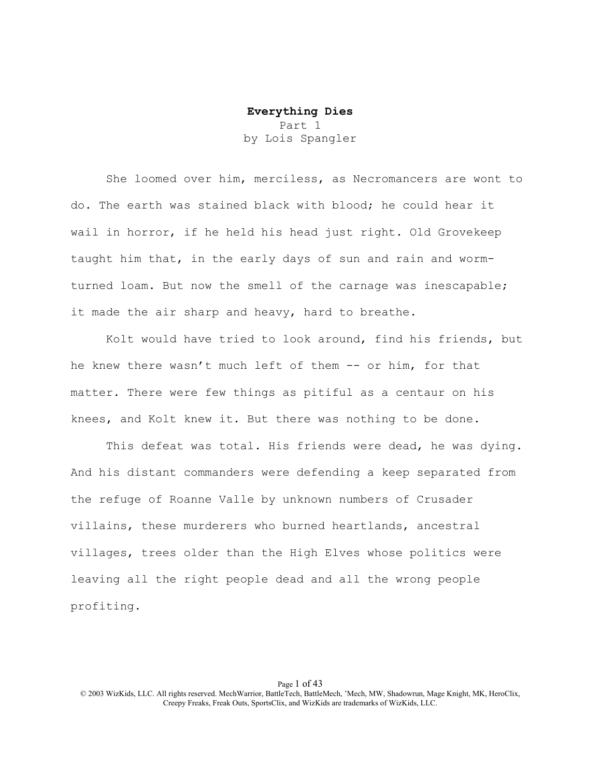# **Everything Dies** Part 1 by Lois Spangler

She loomed over him, merciless, as Necromancers are wont to do. The earth was stained black with blood; he could hear it wail in horror, if he held his head just right. Old Grovekeep taught him that, in the early days of sun and rain and wormturned loam. But now the smell of the carnage was inescapable; it made the air sharp and heavy, hard to breathe.

Kolt would have tried to look around, find his friends, but he knew there wasn't much left of them -- or him, for that matter. There were few things as pitiful as a centaur on his knees, and Kolt knew it. But there was nothing to be done.

This defeat was total. His friends were dead, he was dying. And his distant commanders were defending a keep separated from the refuge of Roanne Valle by unknown numbers of Crusader villains, these murderers who burned heartlands, ancestral villages, trees older than the High Elves whose politics were leaving all the right people dead and all the wrong people profiting.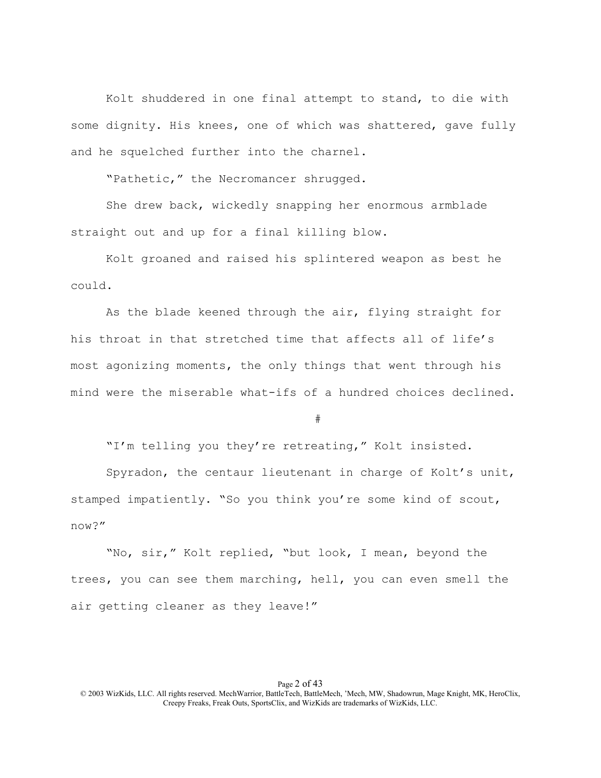Kolt shuddered in one final attempt to stand, to die with some dignity. His knees, one of which was shattered, gave fully and he squelched further into the charnel.

"Pathetic," the Necromancer shrugged.

She drew back, wickedly snapping her enormous armblade straight out and up for a final killing blow.

Kolt groaned and raised his splintered weapon as best he could.

As the blade keened through the air, flying straight for his throat in that stretched time that affects all of life's most agonizing moments, the only things that went through his mind were the miserable what-ifs of a hundred choices declined.

#

"I'm telling you they're retreating," Kolt insisted.

Spyradon, the centaur lieutenant in charge of Kolt's unit, stamped impatiently. "So you think you're some kind of scout, now?"

"No, sir," Kolt replied, "but look, I mean, beyond the trees, you can see them marching, hell, you can even smell the air getting cleaner as they leave!"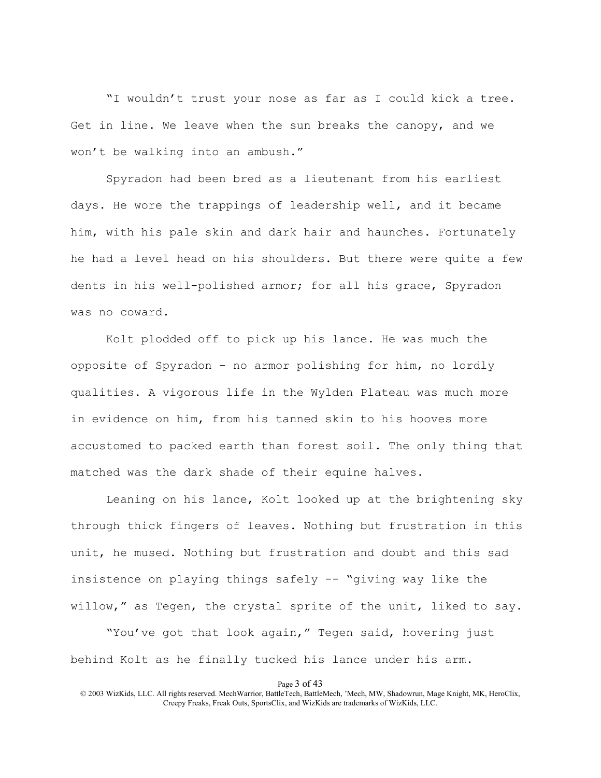"I wouldn't trust your nose as far as I could kick a tree. Get in line. We leave when the sun breaks the canopy, and we won't be walking into an ambush."

Spyradon had been bred as a lieutenant from his earliest days. He wore the trappings of leadership well, and it became him, with his pale skin and dark hair and haunches. Fortunately he had a level head on his shoulders. But there were quite a few dents in his well-polished armor; for all his grace, Spyradon was no coward.

Kolt plodded off to pick up his lance. He was much the opposite of Spyradon – no armor polishing for him, no lordly qualities. A vigorous life in the Wylden Plateau was much more in evidence on him, from his tanned skin to his hooves more accustomed to packed earth than forest soil. The only thing that matched was the dark shade of their equine halves.

Leaning on his lance, Kolt looked up at the brightening sky through thick fingers of leaves. Nothing but frustration in this unit, he mused. Nothing but frustration and doubt and this sad insistence on playing things safely -- "giving way like the willow," as Tegen, the crystal sprite of the unit, liked to say.

"You've got that look again," Tegen said, hovering just behind Kolt as he finally tucked his lance under his arm.

Page 3 of 43

<sup>© 2003</sup> WizKids, LLC. All rights reserved. MechWarrior, BattleTech, BattleMech, 'Mech, MW, Shadowrun, Mage Knight, MK, HeroClix, Creepy Freaks, Freak Outs, SportsClix, and WizKids are trademarks of WizKids, LLC.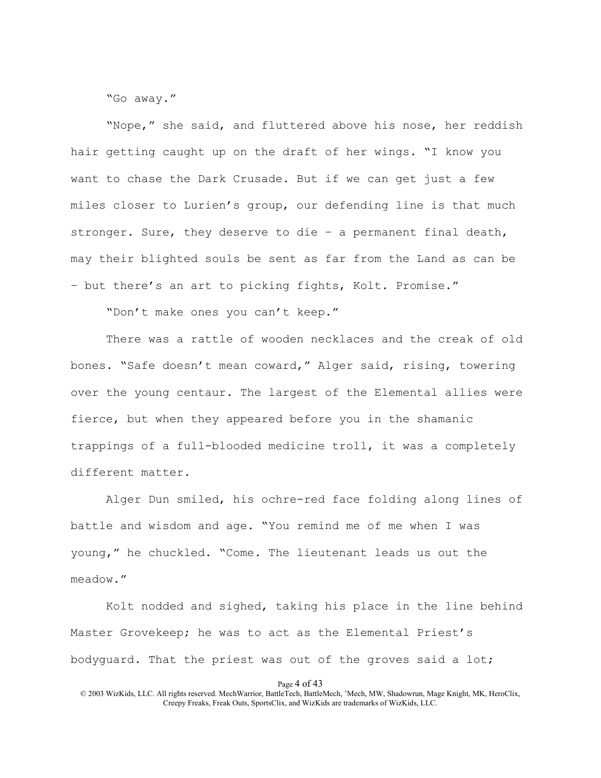"Go away."

"Nope," she said, and fluttered above his nose, her reddish hair getting caught up on the draft of her wings. "I know you want to chase the Dark Crusade. But if we can get just a few miles closer to Lurien's group, our defending line is that much stronger. Sure, they deserve to die – a permanent final death, may their blighted souls be sent as far from the Land as can be – but there's an art to picking fights, Kolt. Promise."

"Don't make ones you can't keep."

There was a rattle of wooden necklaces and the creak of old bones. "Safe doesn't mean coward," Alger said, rising, towering over the young centaur. The largest of the Elemental allies were fierce, but when they appeared before you in the shamanic trappings of a full-blooded medicine troll, it was a completely different matter.

Alger Dun smiled, his ochre-red face folding along lines of battle and wisdom and age. "You remind me of me when I was young," he chuckled. "Come. The lieutenant leads us out the meadow."

Kolt nodded and sighed, taking his place in the line behind Master Grovekeep; he was to act as the Elemental Priest's bodyguard. That the priest was out of the groves said a lot;

Page 4 of 43

<sup>© 2003</sup> WizKids, LLC. All rights reserved. MechWarrior, BattleTech, BattleMech, 'Mech, MW, Shadowrun, Mage Knight, MK, HeroClix, Creepy Freaks, Freak Outs, SportsClix, and WizKids are trademarks of WizKids, LLC.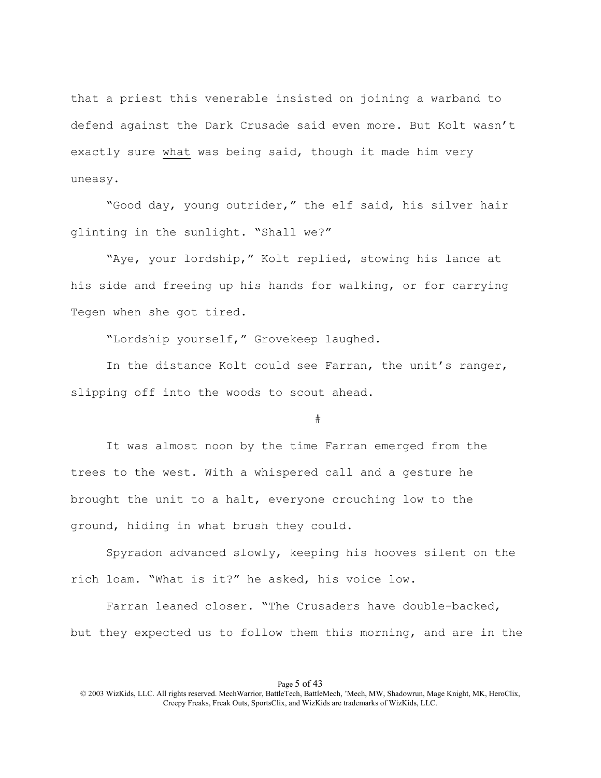that a priest this venerable insisted on joining a warband to defend against the Dark Crusade said even more. But Kolt wasn't exactly sure what was being said, though it made him very uneasy.

"Good day, young outrider," the elf said, his silver hair glinting in the sunlight. "Shall we?"

"Aye, your lordship," Kolt replied, stowing his lance at his side and freeing up his hands for walking, or for carrying Tegen when she got tired.

"Lordship yourself," Grovekeep laughed.

In the distance Kolt could see Farran, the unit's ranger, slipping off into the woods to scout ahead.

#

It was almost noon by the time Farran emerged from the trees to the west. With a whispered call and a gesture he brought the unit to a halt, everyone crouching low to the ground, hiding in what brush they could.

Spyradon advanced slowly, keeping his hooves silent on the rich loam. "What is it?" he asked, his voice low.

Farran leaned closer. "The Crusaders have double-backed, but they expected us to follow them this morning, and are in the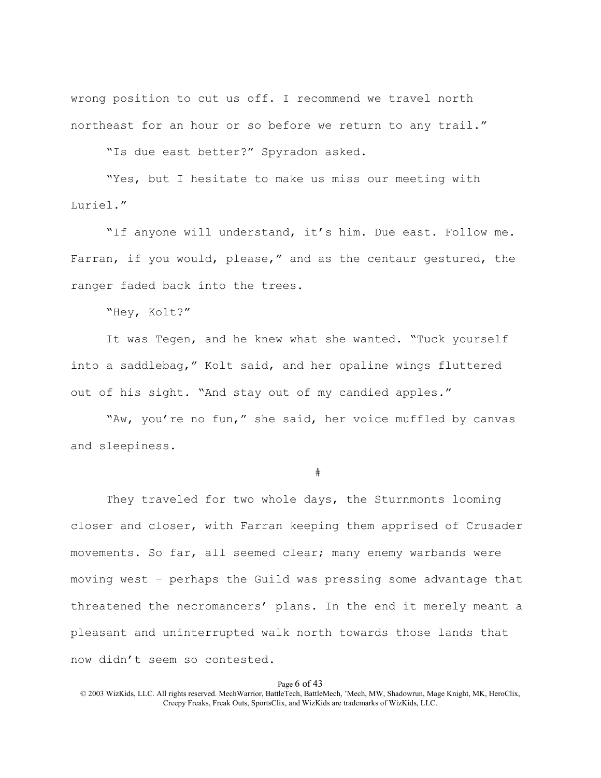wrong position to cut us off. I recommend we travel north northeast for an hour or so before we return to any trail."

"Is due east better?" Spyradon asked.

"Yes, but I hesitate to make us miss our meeting with Luriel."

"If anyone will understand, it's him. Due east. Follow me. Farran, if you would, please," and as the centaur gestured, the ranger faded back into the trees.

"Hey, Kolt?"

It was Tegen, and he knew what she wanted. "Tuck yourself into a saddlebag," Kolt said, and her opaline wings fluttered out of his sight. "And stay out of my candied apples."

"Aw, you're no fun," she said, her voice muffled by canvas and sleepiness.

#

They traveled for two whole days, the Sturnmonts looming closer and closer, with Farran keeping them apprised of Crusader movements. So far, all seemed clear; many enemy warbands were moving west – perhaps the Guild was pressing some advantage that threatened the necromancers' plans. In the end it merely meant a pleasant and uninterrupted walk north towards those lands that now didn't seem so contested.

#### Page 6 of 43

<sup>© 2003</sup> WizKids, LLC. All rights reserved. MechWarrior, BattleTech, BattleMech, 'Mech, MW, Shadowrun, Mage Knight, MK, HeroClix, Creepy Freaks, Freak Outs, SportsClix, and WizKids are trademarks of WizKids, LLC.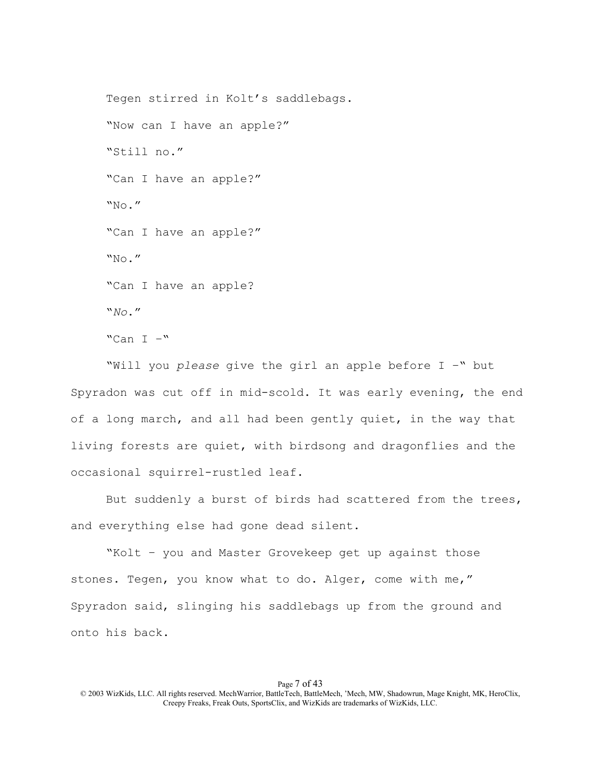Tegen stirred in Kolt's saddlebags. "Now can I have an apple?" "Still no." "Can I have an apple?" "No." "Can I have an apple?" "No." "Can I have an apple?  $W_{NQ}$   $''$ "Can  $I -$ "

"Will you *please* give the girl an apple before I –" but Spyradon was cut off in mid-scold. It was early evening, the end of a long march, and all had been gently quiet, in the way that living forests are quiet, with birdsong and dragonflies and the occasional squirrel-rustled leaf.

But suddenly a burst of birds had scattered from the trees, and everything else had gone dead silent.

"Kolt – you and Master Grovekeep get up against those stones. Tegen, you know what to do. Alger, come with me," Spyradon said, slinging his saddlebags up from the ground and onto his back.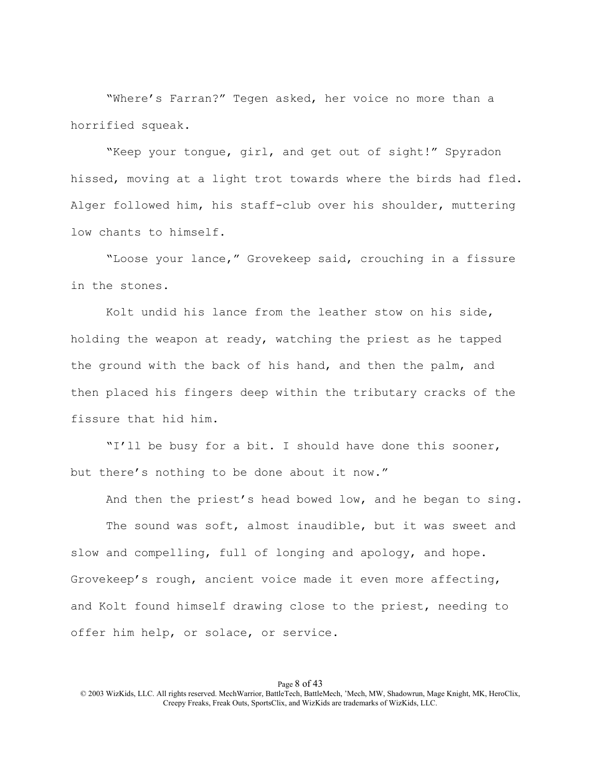"Where's Farran?" Tegen asked, her voice no more than a horrified squeak.

"Keep your tongue, girl, and get out of sight!" Spyradon hissed, moving at a light trot towards where the birds had fled. Alger followed him, his staff-club over his shoulder, muttering low chants to himself.

"Loose your lance," Grovekeep said, crouching in a fissure in the stones.

Kolt undid his lance from the leather stow on his side, holding the weapon at ready, watching the priest as he tapped the ground with the back of his hand, and then the palm, and then placed his fingers deep within the tributary cracks of the fissure that hid him.

"I'll be busy for a bit. I should have done this sooner, but there's nothing to be done about it now."

And then the priest's head bowed low, and he began to sing.

The sound was soft, almost inaudible, but it was sweet and slow and compelling, full of longing and apology, and hope. Grovekeep's rough, ancient voice made it even more affecting, and Kolt found himself drawing close to the priest, needing to offer him help, or solace, or service.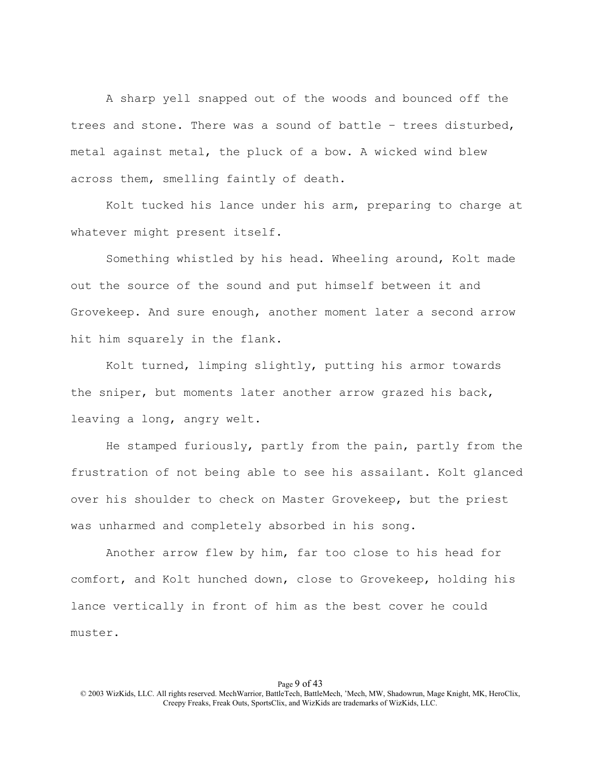A sharp yell snapped out of the woods and bounced off the trees and stone. There was a sound of battle – trees disturbed, metal against metal, the pluck of a bow. A wicked wind blew across them, smelling faintly of death.

Kolt tucked his lance under his arm, preparing to charge at whatever might present itself.

Something whistled by his head. Wheeling around, Kolt made out the source of the sound and put himself between it and Grovekeep. And sure enough, another moment later a second arrow hit him squarely in the flank.

Kolt turned, limping slightly, putting his armor towards the sniper, but moments later another arrow grazed his back, leaving a long, angry welt.

He stamped furiously, partly from the pain, partly from the frustration of not being able to see his assailant. Kolt glanced over his shoulder to check on Master Grovekeep, but the priest was unharmed and completely absorbed in his song.

Another arrow flew by him, far too close to his head for comfort, and Kolt hunched down, close to Grovekeep, holding his lance vertically in front of him as the best cover he could muster.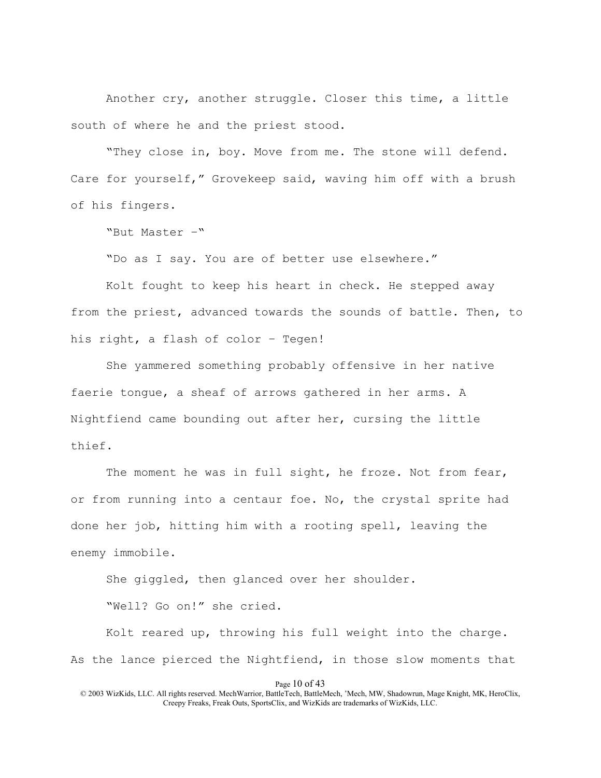Another cry, another struggle. Closer this time, a little south of where he and the priest stood.

"They close in, boy. Move from me. The stone will defend. Care for yourself," Grovekeep said, waving him off with a brush of his fingers.

"But Master –"

"Do as I say. You are of better use elsewhere."

Kolt fought to keep his heart in check. He stepped away from the priest, advanced towards the sounds of battle. Then, to his right, a flash of color – Tegen!

She yammered something probably offensive in her native faerie tongue, a sheaf of arrows gathered in her arms. A Nightfiend came bounding out after her, cursing the little thief.

The moment he was in full sight, he froze. Not from fear, or from running into a centaur foe. No, the crystal sprite had done her job, hitting him with a rooting spell, leaving the enemy immobile.

She giggled, then glanced over her shoulder.

"Well? Go on!" she cried.

Kolt reared up, throwing his full weight into the charge. As the lance pierced the Nightfiend, in those slow moments that

Page 10 of 43

<sup>© 2003</sup> WizKids, LLC. All rights reserved. MechWarrior, BattleTech, BattleMech, 'Mech, MW, Shadowrun, Mage Knight, MK, HeroClix, Creepy Freaks, Freak Outs, SportsClix, and WizKids are trademarks of WizKids, LLC.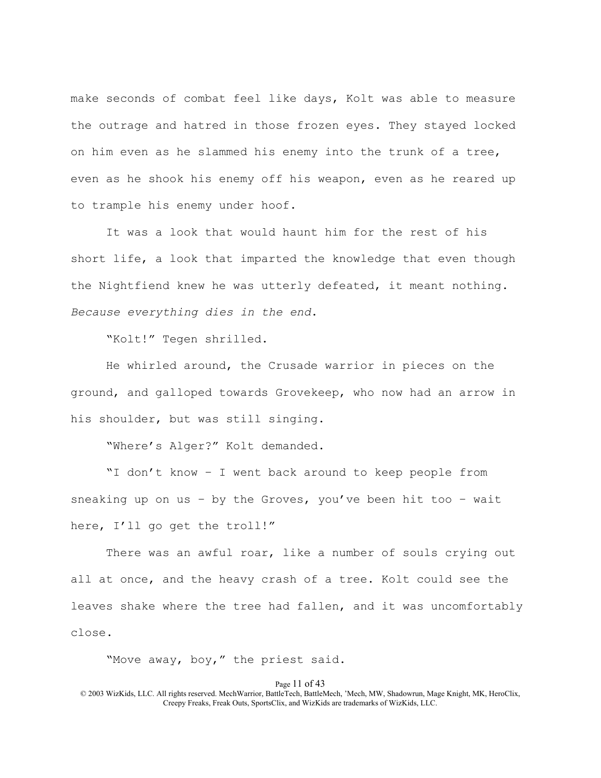make seconds of combat feel like days, Kolt was able to measure the outrage and hatred in those frozen eyes. They stayed locked on him even as he slammed his enemy into the trunk of a tree, even as he shook his enemy off his weapon, even as he reared up to trample his enemy under hoof.

It was a look that would haunt him for the rest of his short life, a look that imparted the knowledge that even though the Nightfiend knew he was utterly defeated, it meant nothing. *Because everything dies in the end*.

"Kolt!" Tegen shrilled.

He whirled around, the Crusade warrior in pieces on the ground, and galloped towards Grovekeep, who now had an arrow in his shoulder, but was still singing.

"Where's Alger?" Kolt demanded.

"I don't know – I went back around to keep people from sneaking up on us - by the Groves, you've been hit too - wait here, I'll go get the troll!"

There was an awful roar, like a number of souls crying out all at once, and the heavy crash of a tree. Kolt could see the leaves shake where the tree had fallen, and it was uncomfortably close.

"Move away, boy," the priest said.

### Page 11 of 43

© 2003 WizKids, LLC. All rights reserved. MechWarrior, BattleTech, BattleMech, 'Mech, MW, Shadowrun, Mage Knight, MK, HeroClix, Creepy Freaks, Freak Outs, SportsClix, and WizKids are trademarks of WizKids, LLC.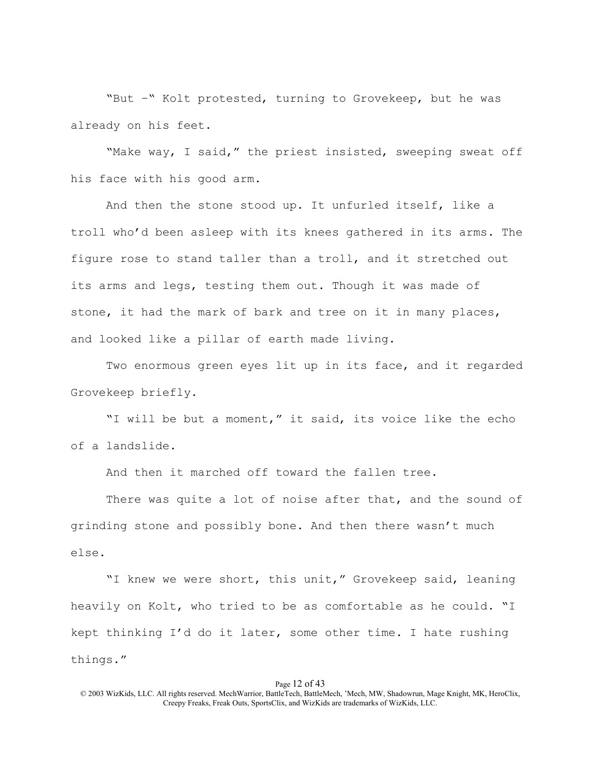"But –" Kolt protested, turning to Grovekeep, but he was already on his feet.

"Make way, I said," the priest insisted, sweeping sweat off his face with his good arm.

And then the stone stood up. It unfurled itself, like a troll who'd been asleep with its knees gathered in its arms. The figure rose to stand taller than a troll, and it stretched out its arms and legs, testing them out. Though it was made of stone, it had the mark of bark and tree on it in many places, and looked like a pillar of earth made living.

Two enormous green eyes lit up in its face, and it regarded Grovekeep briefly.

"I will be but a moment," it said, its voice like the echo of a landslide.

And then it marched off toward the fallen tree.

There was quite a lot of noise after that, and the sound of grinding stone and possibly bone. And then there wasn't much else.

"I knew we were short, this unit," Grovekeep said, leaning heavily on Kolt, who tried to be as comfortable as he could. "I kept thinking I'd do it later, some other time. I hate rushing things."

#### Page 12 of 43

<sup>© 2003</sup> WizKids, LLC. All rights reserved. MechWarrior, BattleTech, BattleMech, 'Mech, MW, Shadowrun, Mage Knight, MK, HeroClix, Creepy Freaks, Freak Outs, SportsClix, and WizKids are trademarks of WizKids, LLC.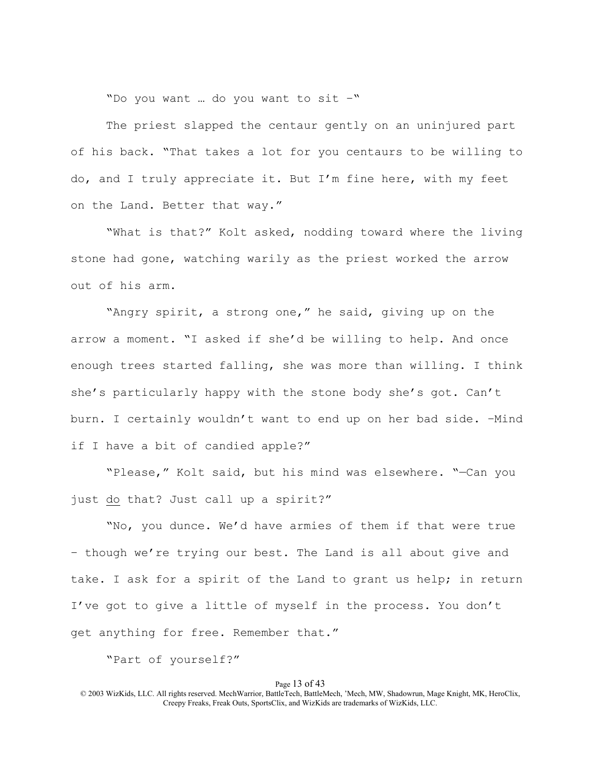"Do you want … do you want to sit –"

The priest slapped the centaur gently on an uninjured part of his back. "That takes a lot for you centaurs to be willing to do, and I truly appreciate it. But I'm fine here, with my feet on the Land. Better that way."

"What is that?" Kolt asked, nodding toward where the living stone had gone, watching warily as the priest worked the arrow out of his arm.

"Angry spirit, a strong one," he said, giving up on the arrow a moment. "I asked if she'd be willing to help. And once enough trees started falling, she was more than willing. I think she's particularly happy with the stone body she's got. Can't burn. I certainly wouldn't want to end up on her bad side. –Mind if I have a bit of candied apple?"

"Please," Kolt said, but his mind was elsewhere. "—Can you just do that? Just call up a spirit?"

"No, you dunce. We'd have armies of them if that were true – though we're trying our best. The Land is all about give and take. I ask for a spirit of the Land to grant us help; in return I've got to give a little of myself in the process. You don't get anything for free. Remember that."

"Part of yourself?"

# Page 13 of 43

© 2003 WizKids, LLC. All rights reserved. MechWarrior, BattleTech, BattleMech, 'Mech, MW, Shadowrun, Mage Knight, MK, HeroClix, Creepy Freaks, Freak Outs, SportsClix, and WizKids are trademarks of WizKids, LLC.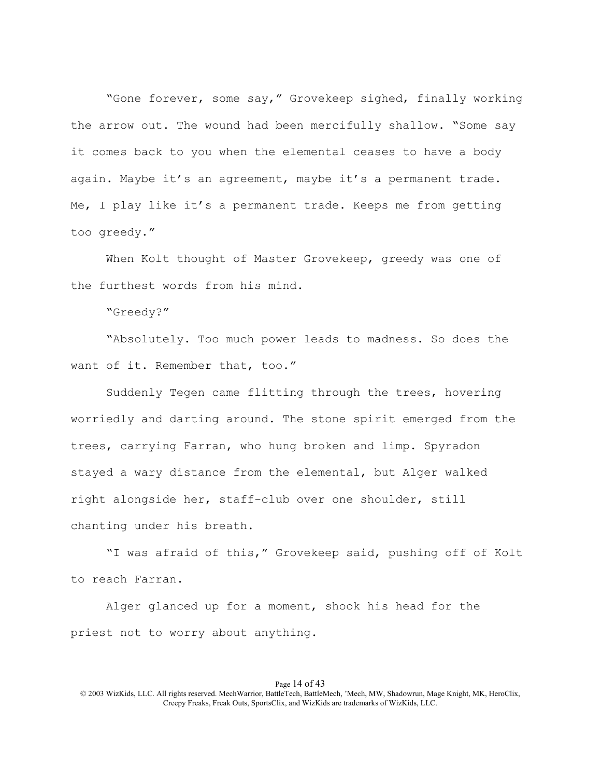"Gone forever, some say," Grovekeep sighed, finally working the arrow out. The wound had been mercifully shallow. "Some say it comes back to you when the elemental ceases to have a body again. Maybe it's an agreement, maybe it's a permanent trade. Me, I play like it's a permanent trade. Keeps me from getting too greedy."

When Kolt thought of Master Grovekeep, greedy was one of the furthest words from his mind.

"Greedy?"

"Absolutely. Too much power leads to madness. So does the want of it. Remember that, too."

Suddenly Tegen came flitting through the trees, hovering worriedly and darting around. The stone spirit emerged from the trees, carrying Farran, who hung broken and limp. Spyradon stayed a wary distance from the elemental, but Alger walked right alongside her, staff-club over one shoulder, still chanting under his breath.

"I was afraid of this," Grovekeep said, pushing off of Kolt to reach Farran.

Alger glanced up for a moment, shook his head for the priest not to worry about anything.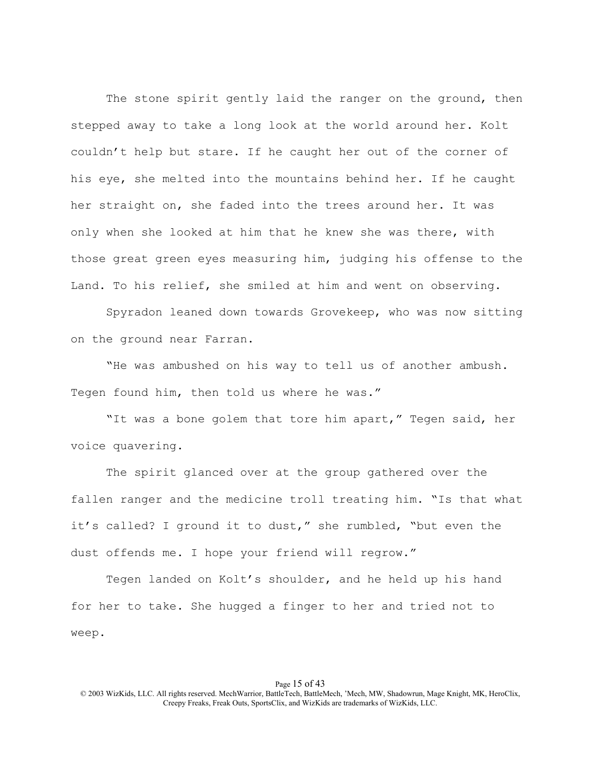The stone spirit gently laid the ranger on the ground, then stepped away to take a long look at the world around her. Kolt couldn't help but stare. If he caught her out of the corner of his eye, she melted into the mountains behind her. If he caught her straight on, she faded into the trees around her. It was only when she looked at him that he knew she was there, with those great green eyes measuring him, judging his offense to the Land. To his relief, she smiled at him and went on observing.

Spyradon leaned down towards Grovekeep, who was now sitting on the ground near Farran.

"He was ambushed on his way to tell us of another ambush. Tegen found him, then told us where he was."

"It was a bone golem that tore him apart," Tegen said, her voice quavering.

The spirit glanced over at the group gathered over the fallen ranger and the medicine troll treating him. "Is that what it's called? I ground it to dust," she rumbled, "but even the dust offends me. I hope your friend will regrow."

Tegen landed on Kolt's shoulder, and he held up his hand for her to take. She hugged a finger to her and tried not to weep.

<sup>© 2003</sup> WizKids, LLC. All rights reserved. MechWarrior, BattleTech, BattleMech, 'Mech, MW, Shadowrun, Mage Knight, MK, HeroClix, Creepy Freaks, Freak Outs, SportsClix, and WizKids are trademarks of WizKids, LLC.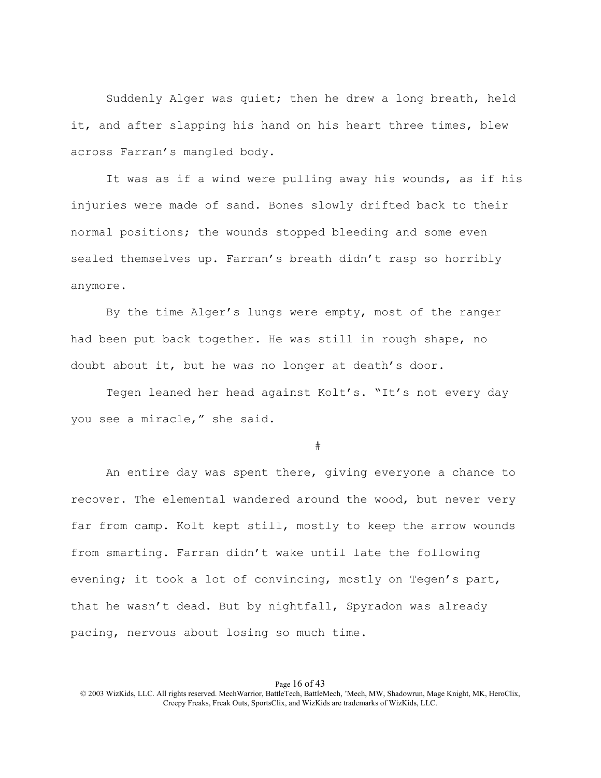Suddenly Alger was quiet; then he drew a long breath, held it, and after slapping his hand on his heart three times, blew across Farran's mangled body.

It was as if a wind were pulling away his wounds, as if his injuries were made of sand. Bones slowly drifted back to their normal positions; the wounds stopped bleeding and some even sealed themselves up. Farran's breath didn't rasp so horribly anymore.

By the time Alger's lungs were empty, most of the ranger had been put back together. He was still in rough shape, no doubt about it, but he was no longer at death's door.

Tegen leaned her head against Kolt's. "It's not every day you see a miracle," she said.

#

An entire day was spent there, giving everyone a chance to recover. The elemental wandered around the wood, but never very far from camp. Kolt kept still, mostly to keep the arrow wounds from smarting. Farran didn't wake until late the following evening; it took a lot of convincing, mostly on Tegen's part, that he wasn't dead. But by nightfall, Spyradon was already pacing, nervous about losing so much time.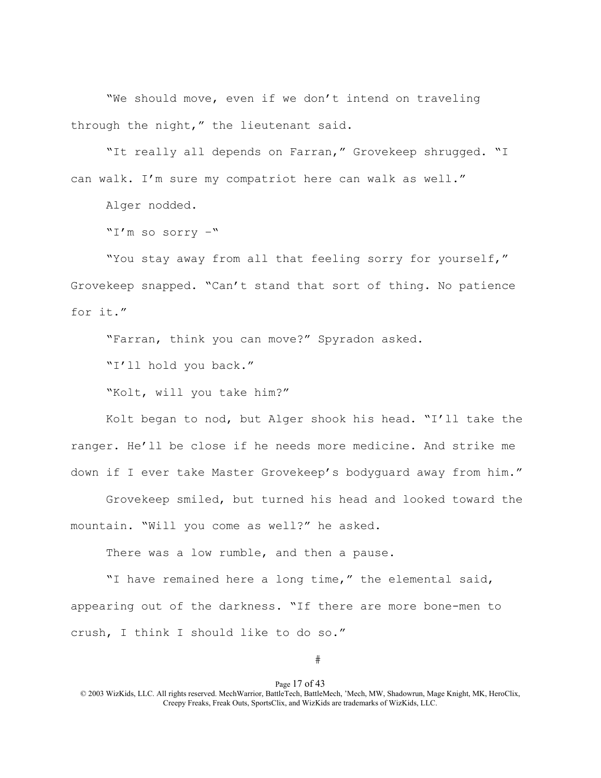"We should move, even if we don't intend on traveling through the night," the lieutenant said.

"It really all depends on Farran," Grovekeep shrugged. "I can walk. I'm sure my compatriot here can walk as well."

Alger nodded.

"I'm so sorry –"

"You stay away from all that feeling sorry for yourself," Grovekeep snapped. "Can't stand that sort of thing. No patience for it."

"Farran, think you can move?" Spyradon asked.

"I'll hold you back."

"Kolt, will you take him?"

Kolt began to nod, but Alger shook his head. "I'll take the ranger. He'll be close if he needs more medicine. And strike me down if I ever take Master Grovekeep's bodyguard away from him."

Grovekeep smiled, but turned his head and looked toward the mountain. "Will you come as well?" he asked.

There was a low rumble, and then a pause.

"I have remained here a long time," the elemental said, appearing out of the darkness. "If there are more bone-men to crush, I think I should like to do so."

#

<sup>© 2003</sup> WizKids, LLC. All rights reserved. MechWarrior, BattleTech, BattleMech, 'Mech, MW, Shadowrun, Mage Knight, MK, HeroClix, Creepy Freaks, Freak Outs, SportsClix, and WizKids are trademarks of WizKids, LLC.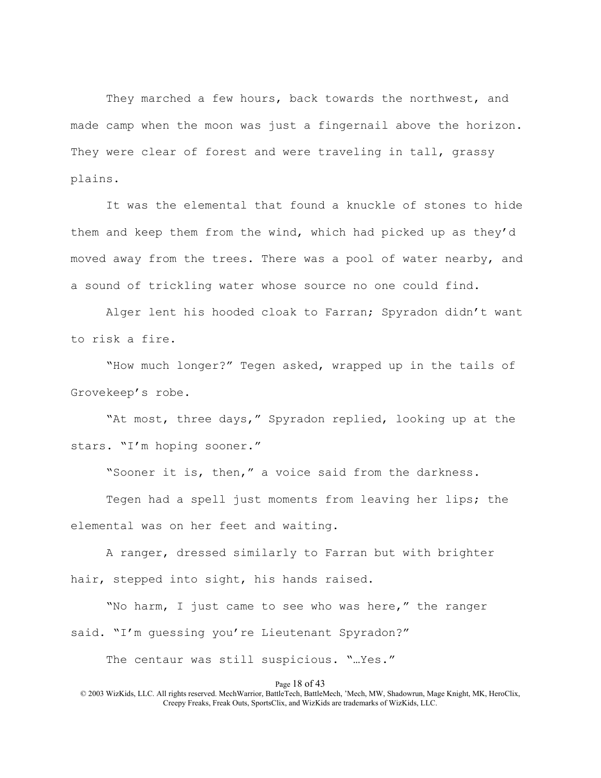They marched a few hours, back towards the northwest, and made camp when the moon was just a fingernail above the horizon. They were clear of forest and were traveling in tall, grassy plains.

It was the elemental that found a knuckle of stones to hide them and keep them from the wind, which had picked up as they'd moved away from the trees. There was a pool of water nearby, and a sound of trickling water whose source no one could find.

Alger lent his hooded cloak to Farran; Spyradon didn't want to risk a fire.

"How much longer?" Tegen asked, wrapped up in the tails of Grovekeep's robe.

"At most, three days," Spyradon replied, looking up at the stars. "I'm hoping sooner."

"Sooner it is, then," a voice said from the darkness.

Tegen had a spell just moments from leaving her lips; the elemental was on her feet and waiting.

A ranger, dressed similarly to Farran but with brighter hair, stepped into sight, his hands raised.

"No harm, I just came to see who was here," the ranger said. "I'm guessing you're Lieutenant Spyradon?"

The centaur was still suspicious. "…Yes."

### Page 18 of 43

<sup>© 2003</sup> WizKids, LLC. All rights reserved. MechWarrior, BattleTech, BattleMech, 'Mech, MW, Shadowrun, Mage Knight, MK, HeroClix, Creepy Freaks, Freak Outs, SportsClix, and WizKids are trademarks of WizKids, LLC.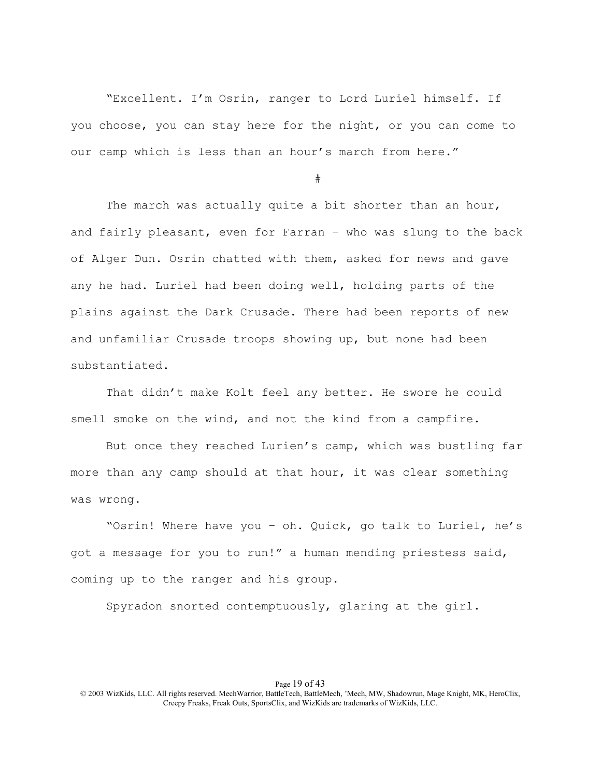"Excellent. I'm Osrin, ranger to Lord Luriel himself. If you choose, you can stay here for the night, or you can come to our camp which is less than an hour's march from here."

#

The march was actually quite a bit shorter than an hour, and fairly pleasant, even for Farran – who was slung to the back of Alger Dun. Osrin chatted with them, asked for news and gave any he had. Luriel had been doing well, holding parts of the plains against the Dark Crusade. There had been reports of new and unfamiliar Crusade troops showing up, but none had been substantiated.

That didn't make Kolt feel any better. He swore he could smell smoke on the wind, and not the kind from a campfire.

But once they reached Lurien's camp, which was bustling far more than any camp should at that hour, it was clear something was wrong.

"Osrin! Where have you – oh. Quick, go talk to Luriel, he's got a message for you to run!" a human mending priestess said, coming up to the ranger and his group.

Spyradon snorted contemptuously, glaring at the girl.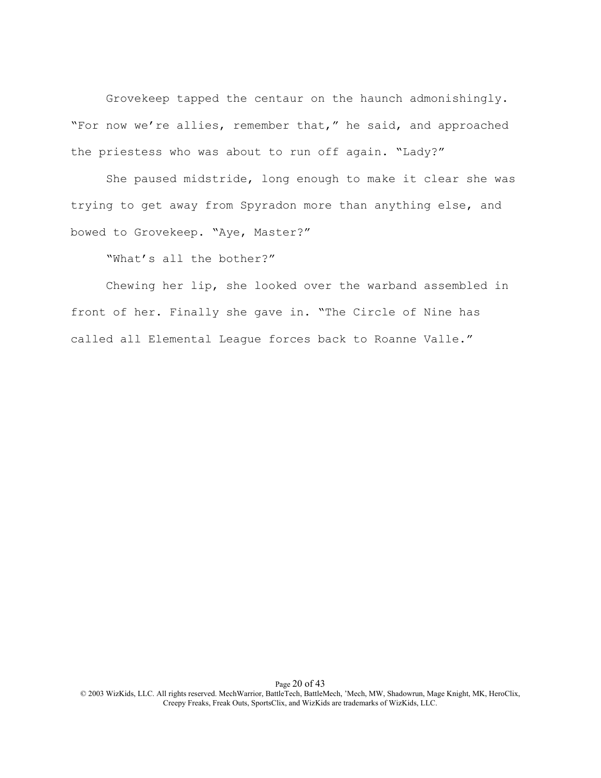Grovekeep tapped the centaur on the haunch admonishingly. "For now we're allies, remember that," he said, and approached the priestess who was about to run off again. "Lady?"

She paused midstride, long enough to make it clear she was trying to get away from Spyradon more than anything else, and bowed to Grovekeep. "Aye, Master?"

"What's all the bother?"

Chewing her lip, she looked over the warband assembled in front of her. Finally she gave in. "The Circle of Nine has called all Elemental League forces back to Roanne Valle."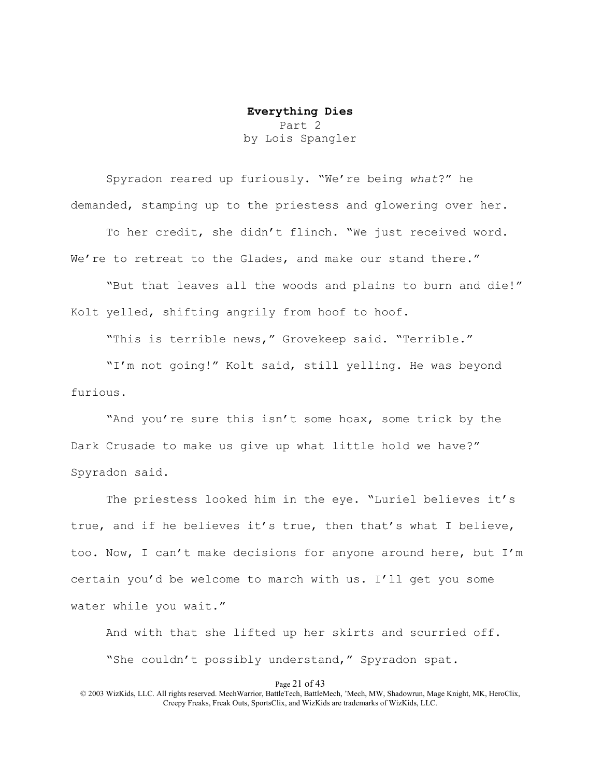# **Everything Dies** Part 2 by Lois Spangler

Spyradon reared up furiously. "We're being *what*?" he demanded, stamping up to the priestess and glowering over her. To her credit, she didn't flinch. "We just received word.

We're to retreat to the Glades, and make our stand there."

"But that leaves all the woods and plains to burn and die!" Kolt yelled, shifting angrily from hoof to hoof.

"This is terrible news," Grovekeep said. "Terrible."

"I'm not going!" Kolt said, still yelling. He was beyond furious.

"And you're sure this isn't some hoax, some trick by the Dark Crusade to make us give up what little hold we have?" Spyradon said.

The priestess looked him in the eye. "Luriel believes it's true, and if he believes it's true, then that's what I believe, too. Now, I can't make decisions for anyone around here, but I'm certain you'd be welcome to march with us. I'll get you some water while you wait."

And with that she lifted up her skirts and scurried off. "She couldn't possibly understand," Spyradon spat.

Page 21 of 43

<sup>© 2003</sup> WizKids, LLC. All rights reserved. MechWarrior, BattleTech, BattleMech, 'Mech, MW, Shadowrun, Mage Knight, MK, HeroClix, Creepy Freaks, Freak Outs, SportsClix, and WizKids are trademarks of WizKids, LLC.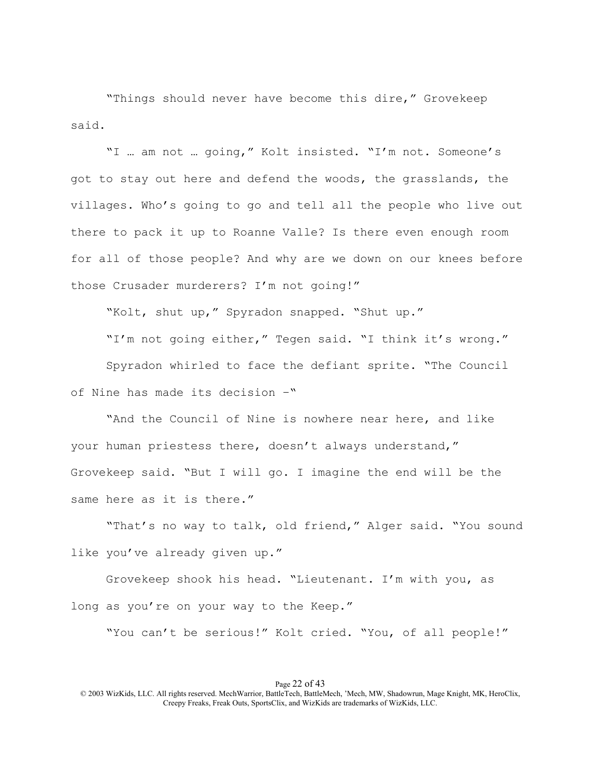"Things should never have become this dire," Grovekeep said.

"I … am not … going," Kolt insisted. "I'm not. Someone's got to stay out here and defend the woods, the grasslands, the villages. Who's going to go and tell all the people who live out there to pack it up to Roanne Valle? Is there even enough room for all of those people? And why are we down on our knees before those Crusader murderers? I'm not going!"

"Kolt, shut up," Spyradon snapped. "Shut up."

"I'm not going either," Tegen said. "I think it's wrong." Spyradon whirled to face the defiant sprite. "The Council of Nine has made its decision –"

"And the Council of Nine is nowhere near here, and like your human priestess there, doesn't always understand," Grovekeep said. "But I will go. I imagine the end will be the same here as it is there."

"That's no way to talk, old friend," Alger said. "You sound like you've already given up."

Grovekeep shook his head. "Lieutenant. I'm with you, as long as you're on your way to the Keep."

"You can't be serious!" Kolt cried. "You, of all people!"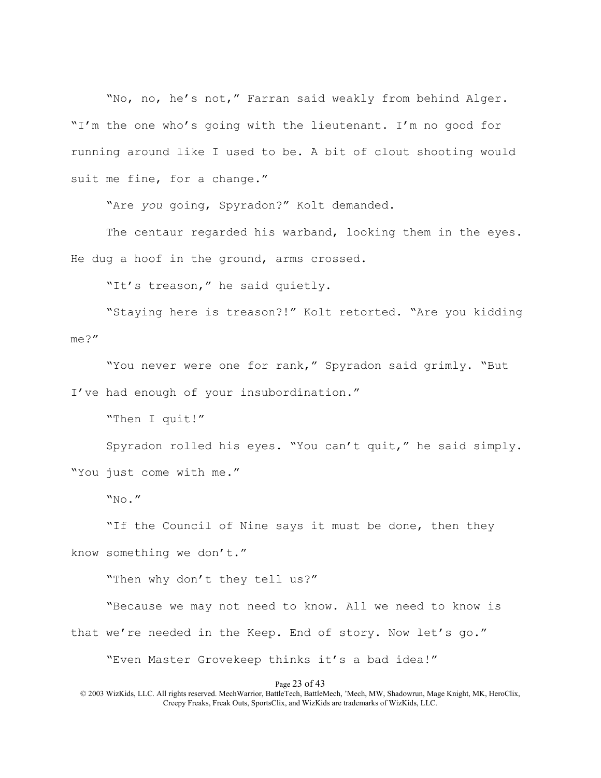"No, no, he's not," Farran said weakly from behind Alger. "I'm the one who's going with the lieutenant. I'm no good for running around like I used to be. A bit of clout shooting would suit me fine, for a change."

"Are *you* going, Spyradon?" Kolt demanded.

The centaur regarded his warband, looking them in the eyes. He dug a hoof in the ground, arms crossed.

"It's treason," he said quietly.

"Staying here is treason?!" Kolt retorted. "Are you kidding me?"

"You never were one for rank," Spyradon said grimly. "But

I've had enough of your insubordination."

"Then I quit!"

Spyradon rolled his eyes. "You can't quit," he said simply. "You just come with me."

"No."

"If the Council of Nine says it must be done, then they know something we don't."

"Then why don't they tell us?"

"Because we may not need to know. All we need to know is that we're needed in the Keep. End of story. Now let's go."

"Even Master Grovekeep thinks it's a bad idea!"

Page 23 of 43

© 2003 WizKids, LLC. All rights reserved. MechWarrior, BattleTech, BattleMech, 'Mech, MW, Shadowrun, Mage Knight, MK, HeroClix, Creepy Freaks, Freak Outs, SportsClix, and WizKids are trademarks of WizKids, LLC.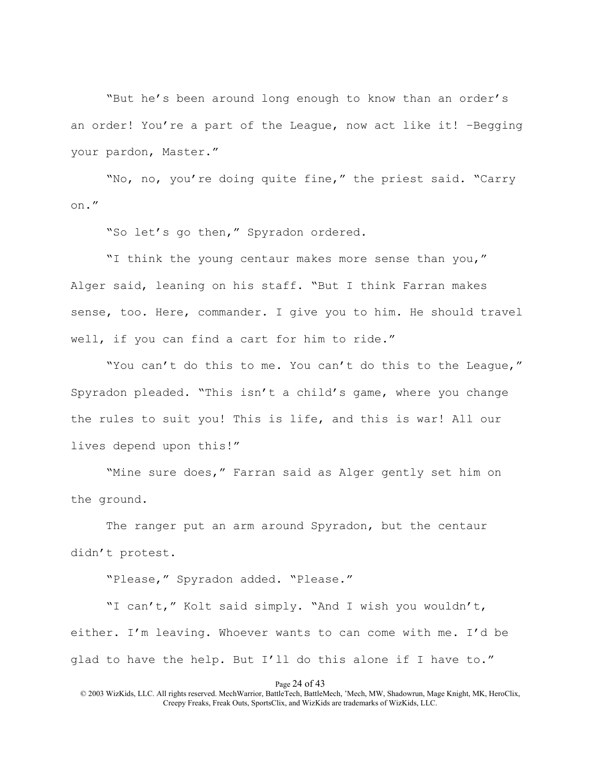"But he's been around long enough to know than an order's an order! You're a part of the League, now act like it! –Begging your pardon, Master."

"No, no, you're doing quite fine," the priest said. "Carry on."

"So let's go then," Spyradon ordered.

"I think the young centaur makes more sense than you," Alger said, leaning on his staff. "But I think Farran makes sense, too. Here, commander. I give you to him. He should travel well, if you can find a cart for him to ride."

"You can't do this to me. You can't do this to the League," Spyradon pleaded. "This isn't a child's game, where you change the rules to suit you! This is life, and this is war! All our lives depend upon this!"

"Mine sure does," Farran said as Alger gently set him on the ground.

The ranger put an arm around Spyradon, but the centaur didn't protest.

"Please," Spyradon added. "Please."

"I can't," Kolt said simply. "And I wish you wouldn't, either. I'm leaving. Whoever wants to can come with me. I'd be glad to have the help. But I'll do this alone if I have to."

Page 24 of 43

<sup>© 2003</sup> WizKids, LLC. All rights reserved. MechWarrior, BattleTech, BattleMech, 'Mech, MW, Shadowrun, Mage Knight, MK, HeroClix, Creepy Freaks, Freak Outs, SportsClix, and WizKids are trademarks of WizKids, LLC.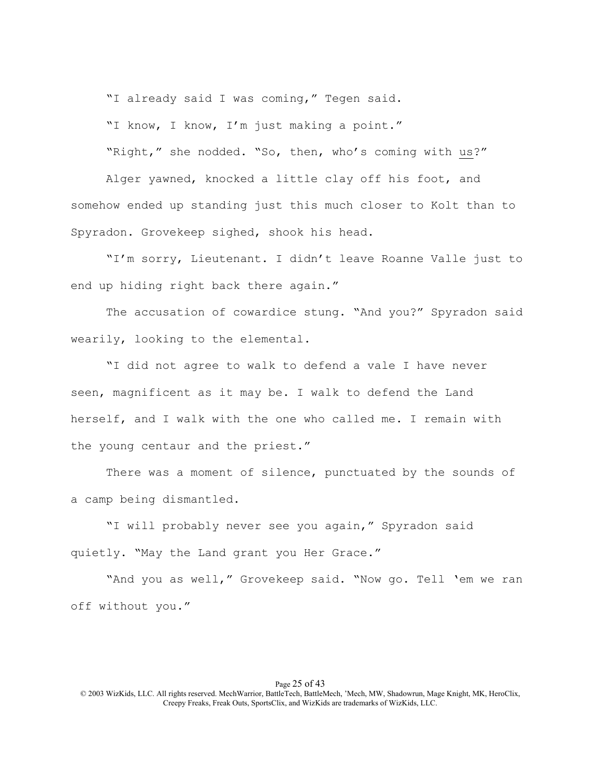"I already said I was coming," Tegen said.

"I know, I know, I'm just making a point."

"Right," she nodded. "So, then, who's coming with us?"

Alger yawned, knocked a little clay off his foot, and somehow ended up standing just this much closer to Kolt than to Spyradon. Grovekeep sighed, shook his head.

"I'm sorry, Lieutenant. I didn't leave Roanne Valle just to end up hiding right back there again."

The accusation of cowardice stung. "And you?" Spyradon said wearily, looking to the elemental.

"I did not agree to walk to defend a vale I have never seen, magnificent as it may be. I walk to defend the Land herself, and I walk with the one who called me. I remain with the young centaur and the priest."

There was a moment of silence, punctuated by the sounds of a camp being dismantled.

"I will probably never see you again," Spyradon said quietly. "May the Land grant you Her Grace."

"And you as well," Grovekeep said. "Now go. Tell 'em we ran off without you."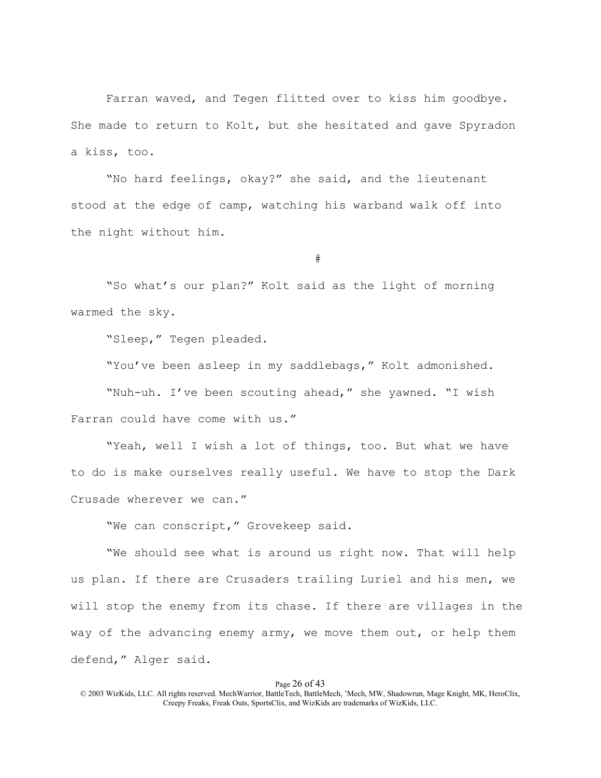Farran waved, and Tegen flitted over to kiss him goodbye. She made to return to Kolt, but she hesitated and gave Spyradon a kiss, too.

"No hard feelings, okay?" she said, and the lieutenant stood at the edge of camp, watching his warband walk off into the night without him.

#

"So what's our plan?" Kolt said as the light of morning warmed the sky.

"Sleep," Tegen pleaded.

"You've been asleep in my saddlebags," Kolt admonished.

"Nuh-uh. I've been scouting ahead," she yawned. "I wish Farran could have come with us."

"Yeah, well I wish a lot of things, too. But what we have to do is make ourselves really useful. We have to stop the Dark Crusade wherever we can."

"We can conscript," Grovekeep said.

"We should see what is around us right now. That will help us plan. If there are Crusaders trailing Luriel and his men, we will stop the enemy from its chase. If there are villages in the way of the advancing enemy army, we move them out, or help them defend," Alger said.

#### Page 26 of 43

© 2003 WizKids, LLC. All rights reserved. MechWarrior, BattleTech, BattleMech, 'Mech, MW, Shadowrun, Mage Knight, MK, HeroClix, Creepy Freaks, Freak Outs, SportsClix, and WizKids are trademarks of WizKids, LLC.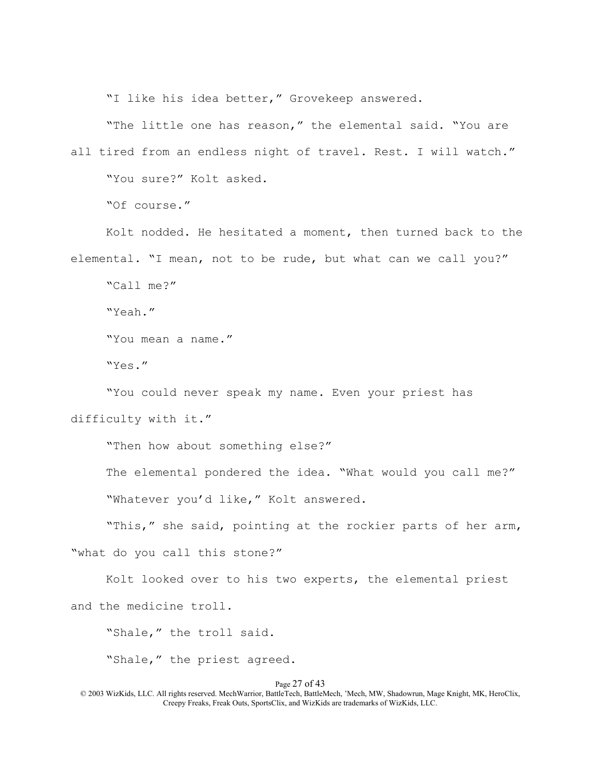"I like his idea better," Grovekeep answered.

"The little one has reason," the elemental said. "You are all tired from an endless night of travel. Rest. I will watch." "You sure?" Kolt asked.

"Of course."

Kolt nodded. He hesitated a moment, then turned back to the elemental. "I mean, not to be rude, but what can we call you?"

"Call me?"

"Yeah."

"You mean a name."

"Yes."

"You could never speak my name. Even your priest has difficulty with it."

"Then how about something else?"

The elemental pondered the idea. "What would you call me?" "Whatever you'd like," Kolt answered.

"This," she said, pointing at the rockier parts of her arm,

"what do you call this stone?"

Kolt looked over to his two experts, the elemental priest and the medicine troll.

"Shale," the troll said.

"Shale," the priest agreed.

### Page 27 of 43

© 2003 WizKids, LLC. All rights reserved. MechWarrior, BattleTech, BattleMech, 'Mech, MW, Shadowrun, Mage Knight, MK, HeroClix, Creepy Freaks, Freak Outs, SportsClix, and WizKids are trademarks of WizKids, LLC.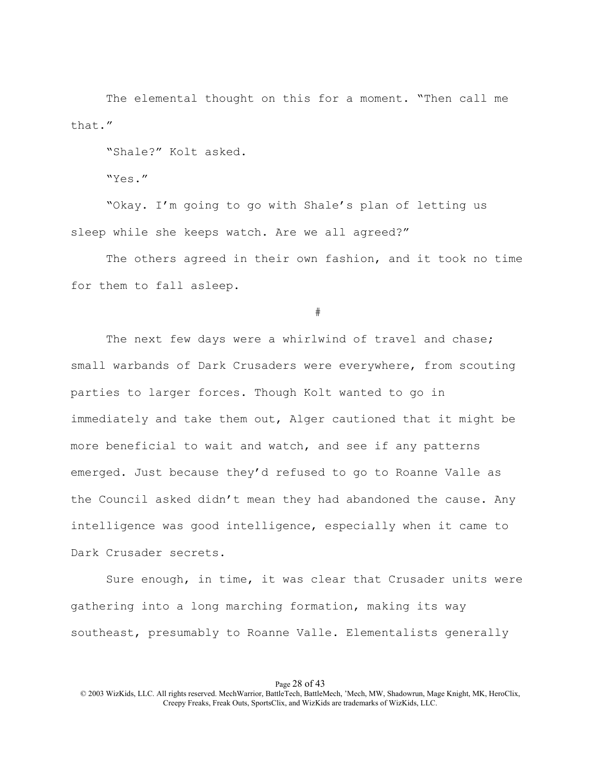The elemental thought on this for a moment. "Then call me that."

"Shale?" Kolt asked.

"Yes."

"Okay. I'm going to go with Shale's plan of letting us sleep while she keeps watch. Are we all agreed?"

The others agreed in their own fashion, and it took no time for them to fall asleep.

#

The next few days were a whirlwind of travel and chase; small warbands of Dark Crusaders were everywhere, from scouting parties to larger forces. Though Kolt wanted to go in immediately and take them out, Alger cautioned that it might be more beneficial to wait and watch, and see if any patterns emerged. Just because they'd refused to go to Roanne Valle as the Council asked didn't mean they had abandoned the cause. Any intelligence was good intelligence, especially when it came to Dark Crusader secrets.

Sure enough, in time, it was clear that Crusader units were gathering into a long marching formation, making its way southeast, presumably to Roanne Valle. Elementalists generally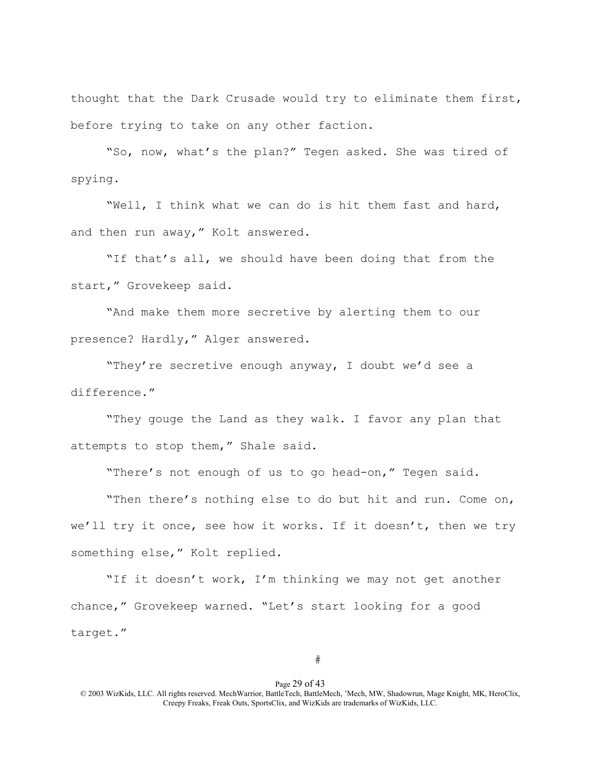thought that the Dark Crusade would try to eliminate them first, before trying to take on any other faction.

"So, now, what's the plan?" Tegen asked. She was tired of spying.

"Well, I think what we can do is hit them fast and hard, and then run away," Kolt answered.

"If that's all, we should have been doing that from the start," Grovekeep said.

"And make them more secretive by alerting them to our presence? Hardly," Alger answered.

"They're secretive enough anyway, I doubt we'd see a difference."

"They gouge the Land as they walk. I favor any plan that attempts to stop them," Shale said.

"There's not enough of us to go head-on," Tegen said.

"Then there's nothing else to do but hit and run. Come on, we'll try it once, see how it works. If it doesn't, then we try something else," Kolt replied.

"If it doesn't work, I'm thinking we may not get another chance," Grovekeep warned. "Let's start looking for a good target."

### Page 29 of 43

<sup>© 2003</sup> WizKids, LLC. All rights reserved. MechWarrior, BattleTech, BattleMech, 'Mech, MW, Shadowrun, Mage Knight, MK, HeroClix, Creepy Freaks, Freak Outs, SportsClix, and WizKids are trademarks of WizKids, LLC.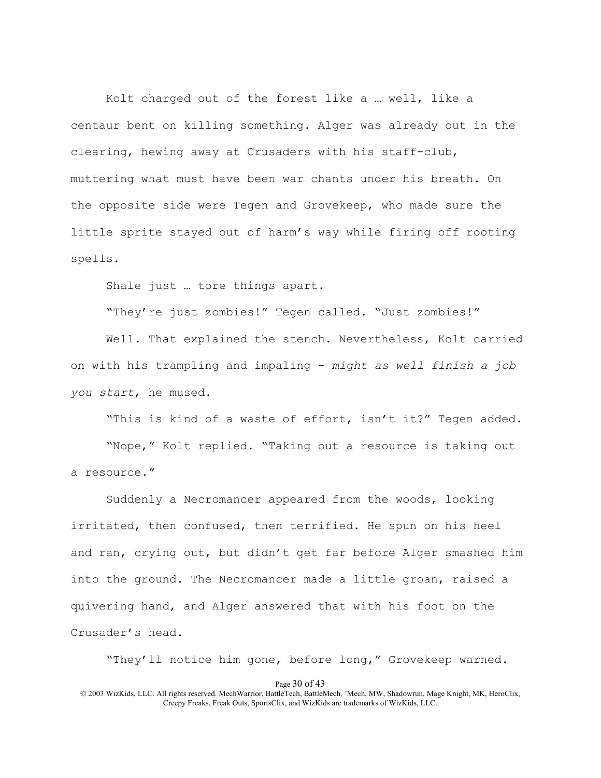Kolt charged out of the forest like a … well, like a centaur bent on killing something. Alger was already out in the clearing, hewing away at Crusaders with his staff-club, muttering what must have been war chants under his breath. On the opposite side were Tegen and Grovekeep, who made sure the little sprite stayed out of harm's way while firing off rooting spells.

Shale just … tore things apart.

"They're just zombies!" Tegen called. "Just zombies!"

Well. That explained the stench. Nevertheless, Kolt carried on with his trampling and impaling – *might as well finish a job you start*, he mused.

"This is kind of a waste of effort, isn't it?" Tegen added.

"Nope," Kolt replied. "Taking out a resource is taking out a resource."

Suddenly a Necromancer appeared from the woods, looking irritated, then confused, then terrified. He spun on his heel and ran, crying out, but didn't get far before Alger smashed him into the ground. The Necromancer made a little groan, raised a quivering hand, and Alger answered that with his foot on the Crusader's head.

"They'll notice him gone, before long," Grovekeep warned.

Page 30 of 43

<sup>© 2003</sup> WizKids, LLC. All rights reserved. MechWarrior, BattleTech, BattleMech, 'Mech, MW, Shadowrun, Mage Knight, MK, HeroClix, Creepy Freaks, Freak Outs, SportsClix, and WizKids are trademarks of WizKids, LLC.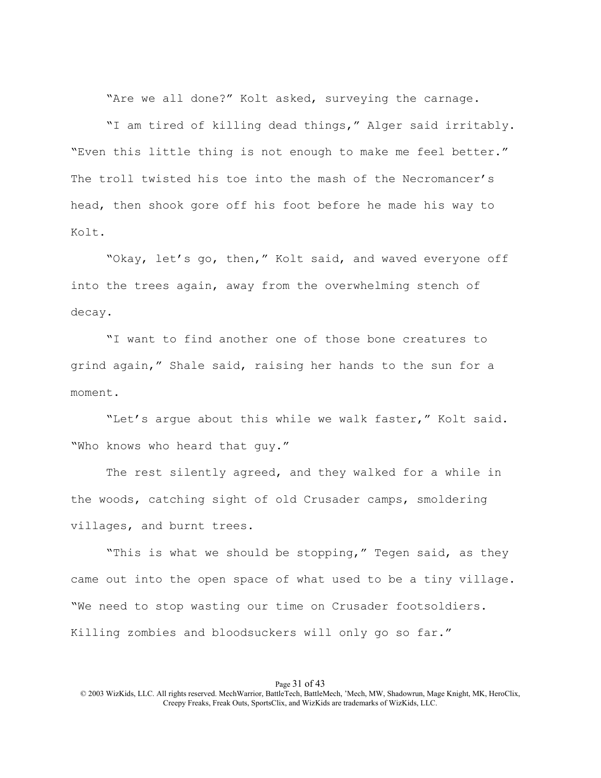"Are we all done?" Kolt asked, surveying the carnage.

"I am tired of killing dead things," Alger said irritably. "Even this little thing is not enough to make me feel better." The troll twisted his toe into the mash of the Necromancer's head, then shook gore off his foot before he made his way to Kolt.

"Okay, let's go, then," Kolt said, and waved everyone off into the trees again, away from the overwhelming stench of decay.

"I want to find another one of those bone creatures to grind again," Shale said, raising her hands to the sun for a moment.

"Let's argue about this while we walk faster," Kolt said. "Who knows who heard that guy."

The rest silently agreed, and they walked for a while in the woods, catching sight of old Crusader camps, smoldering villages, and burnt trees.

"This is what we should be stopping," Tegen said, as they came out into the open space of what used to be a tiny village. "We need to stop wasting our time on Crusader footsoldiers. Killing zombies and bloodsuckers will only go so far."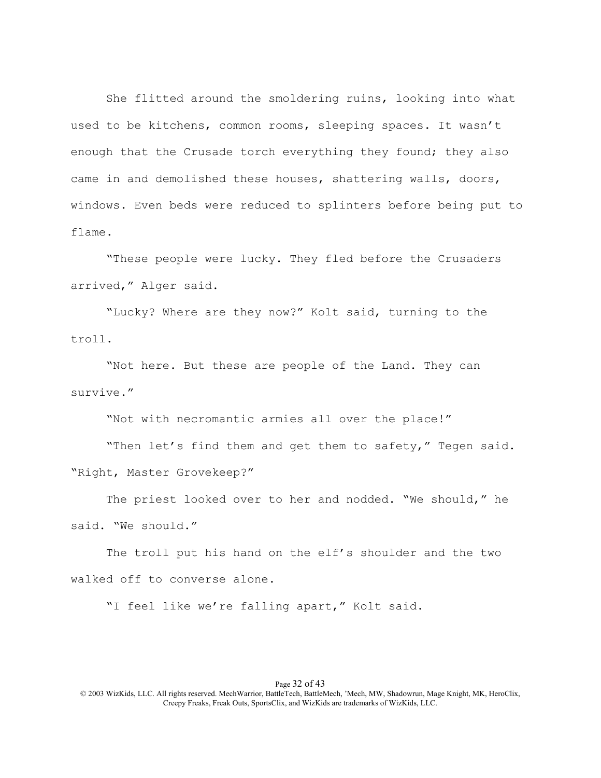She flitted around the smoldering ruins, looking into what used to be kitchens, common rooms, sleeping spaces. It wasn't enough that the Crusade torch everything they found; they also came in and demolished these houses, shattering walls, doors, windows. Even beds were reduced to splinters before being put to flame.

"These people were lucky. They fled before the Crusaders arrived," Alger said.

"Lucky? Where are they now?" Kolt said, turning to the troll.

"Not here. But these are people of the Land. They can survive."

"Not with necromantic armies all over the place!"

"Then let's find them and get them to safety," Tegen said. "Right, Master Grovekeep?"

The priest looked over to her and nodded. "We should," he said. "We should."

The troll put his hand on the elf's shoulder and the two walked off to converse alone.

"I feel like we're falling apart," Kolt said.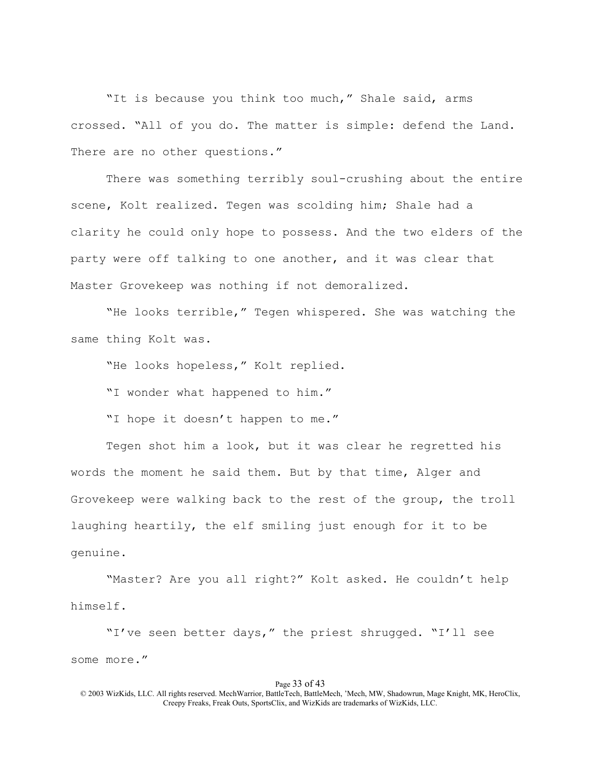"It is because you think too much," Shale said, arms crossed. "All of you do. The matter is simple: defend the Land. There are no other questions."

There was something terribly soul-crushing about the entire scene, Kolt realized. Tegen was scolding him; Shale had a clarity he could only hope to possess. And the two elders of the party were off talking to one another, and it was clear that Master Grovekeep was nothing if not demoralized.

"He looks terrible," Tegen whispered. She was watching the same thing Kolt was.

"He looks hopeless," Kolt replied.

"I wonder what happened to him."

"I hope it doesn't happen to me."

Tegen shot him a look, but it was clear he regretted his words the moment he said them. But by that time, Alger and Grovekeep were walking back to the rest of the group, the troll laughing heartily, the elf smiling just enough for it to be genuine.

"Master? Are you all right?" Kolt asked. He couldn't help himself.

"I've seen better days," the priest shrugged. "I'll see some more."

## Page 33 of 43

<sup>© 2003</sup> WizKids, LLC. All rights reserved. MechWarrior, BattleTech, BattleMech, 'Mech, MW, Shadowrun, Mage Knight, MK, HeroClix, Creepy Freaks, Freak Outs, SportsClix, and WizKids are trademarks of WizKids, LLC.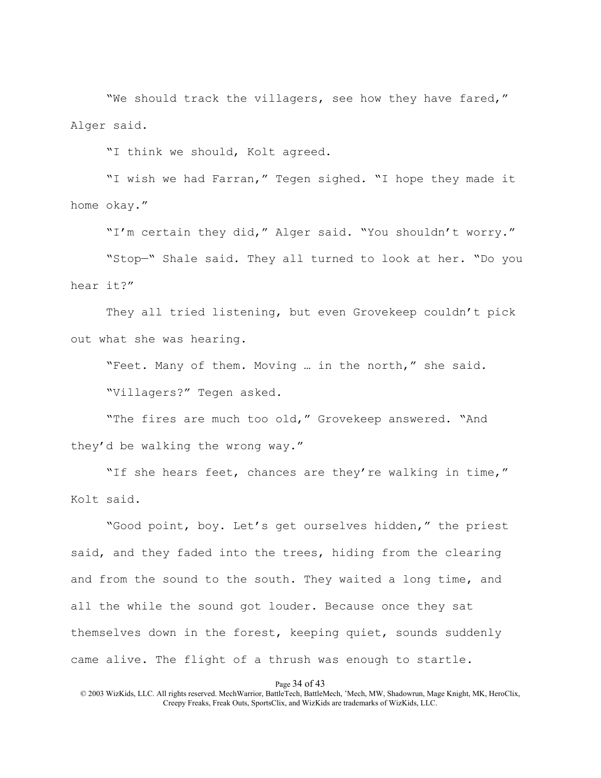"We should track the villagers, see how they have fared," Alger said.

"I think we should, Kolt agreed.

"I wish we had Farran," Tegen sighed. "I hope they made it home okay."

"I'm certain they did," Alger said. "You shouldn't worry."

"Stop—" Shale said. They all turned to look at her. "Do you hear it?"

They all tried listening, but even Grovekeep couldn't pick out what she was hearing.

"Feet. Many of them. Moving … in the north," she said. "Villagers?" Tegen asked.

"The fires are much too old," Grovekeep answered. "And they'd be walking the wrong way."

"If she hears feet, chances are they're walking in time," Kolt said.

"Good point, boy. Let's get ourselves hidden," the priest said, and they faded into the trees, hiding from the clearing and from the sound to the south. They waited a long time, and all the while the sound got louder. Because once they sat themselves down in the forest, keeping quiet, sounds suddenly came alive. The flight of a thrush was enough to startle.

Page 34 of 43

<sup>© 2003</sup> WizKids, LLC. All rights reserved. MechWarrior, BattleTech, BattleMech, 'Mech, MW, Shadowrun, Mage Knight, MK, HeroClix, Creepy Freaks, Freak Outs, SportsClix, and WizKids are trademarks of WizKids, LLC.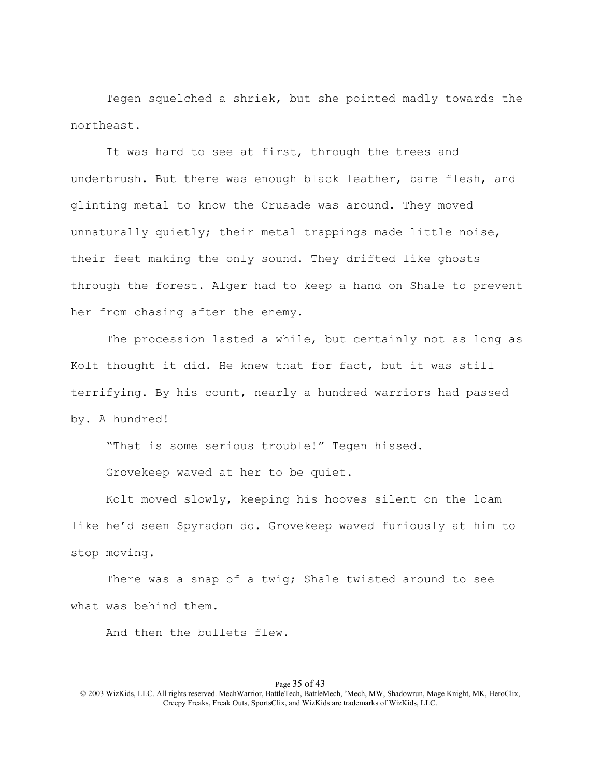Tegen squelched a shriek, but she pointed madly towards the northeast.

It was hard to see at first, through the trees and underbrush. But there was enough black leather, bare flesh, and glinting metal to know the Crusade was around. They moved unnaturally quietly; their metal trappings made little noise, their feet making the only sound. They drifted like ghosts through the forest. Alger had to keep a hand on Shale to prevent her from chasing after the enemy.

The procession lasted a while, but certainly not as long as Kolt thought it did. He knew that for fact, but it was still terrifying. By his count, nearly a hundred warriors had passed by. A hundred!

"That is some serious trouble!" Tegen hissed.

Grovekeep waved at her to be quiet.

Kolt moved slowly, keeping his hooves silent on the loam like he'd seen Spyradon do. Grovekeep waved furiously at him to stop moving.

There was a snap of a twig; Shale twisted around to see what was behind them.

And then the bullets flew.

# Page 35 of 43

<sup>© 2003</sup> WizKids, LLC. All rights reserved. MechWarrior, BattleTech, BattleMech, 'Mech, MW, Shadowrun, Mage Knight, MK, HeroClix, Creepy Freaks, Freak Outs, SportsClix, and WizKids are trademarks of WizKids, LLC.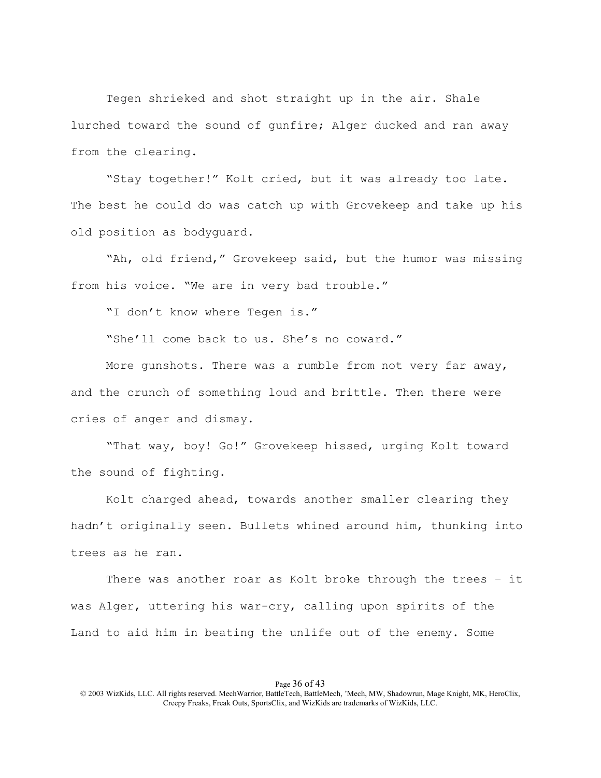Tegen shrieked and shot straight up in the air. Shale lurched toward the sound of gunfire; Alger ducked and ran away from the clearing.

"Stay together!" Kolt cried, but it was already too late. The best he could do was catch up with Grovekeep and take up his old position as bodyguard.

"Ah, old friend," Grovekeep said, but the humor was missing from his voice. "We are in very bad trouble."

"I don't know where Tegen is."

"She'll come back to us. She's no coward."

More gunshots. There was a rumble from not very far away, and the crunch of something loud and brittle. Then there were cries of anger and dismay.

"That way, boy! Go!" Grovekeep hissed, urging Kolt toward the sound of fighting.

Kolt charged ahead, towards another smaller clearing they hadn't originally seen. Bullets whined around him, thunking into trees as he ran.

There was another roar as Kolt broke through the trees – it was Alger, uttering his war-cry, calling upon spirits of the Land to aid him in beating the unlife out of the enemy. Some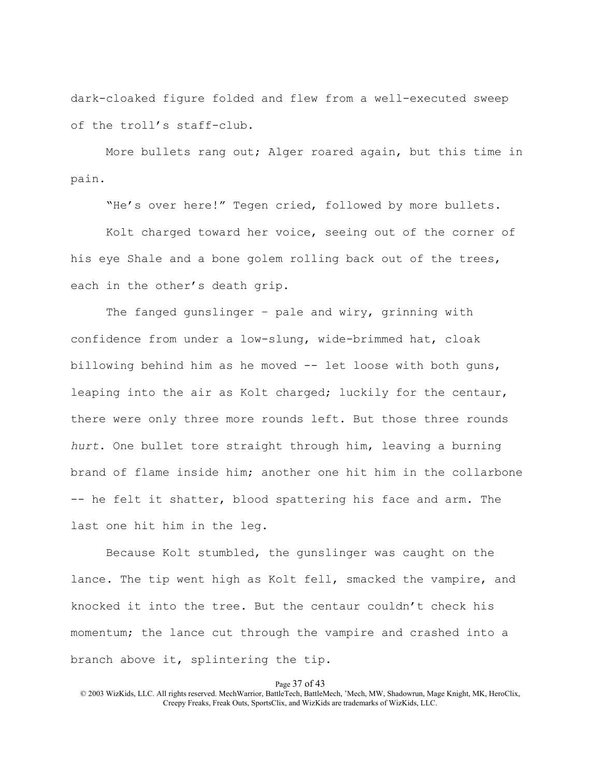dark-cloaked figure folded and flew from a well-executed sweep of the troll's staff-club.

More bullets rang out; Alger roared again, but this time in pain.

"He's over here!" Tegen cried, followed by more bullets.

Kolt charged toward her voice, seeing out of the corner of his eye Shale and a bone golem rolling back out of the trees, each in the other's death grip.

The fanged gunslinger – pale and wiry, grinning with confidence from under a low-slung, wide-brimmed hat, cloak billowing behind him as he moved -- let loose with both guns, leaping into the air as Kolt charged; luckily for the centaur, there were only three more rounds left. But those three rounds *hurt*. One bullet tore straight through him, leaving a burning brand of flame inside him; another one hit him in the collarbone -- he felt it shatter, blood spattering his face and arm. The last one hit him in the leg.

Because Kolt stumbled, the gunslinger was caught on the lance. The tip went high as Kolt fell, smacked the vampire, and knocked it into the tree. But the centaur couldn't check his momentum; the lance cut through the vampire and crashed into a branch above it, splintering the tip.

# Page 37 of 43

<sup>© 2003</sup> WizKids, LLC. All rights reserved. MechWarrior, BattleTech, BattleMech, 'Mech, MW, Shadowrun, Mage Knight, MK, HeroClix, Creepy Freaks, Freak Outs, SportsClix, and WizKids are trademarks of WizKids, LLC.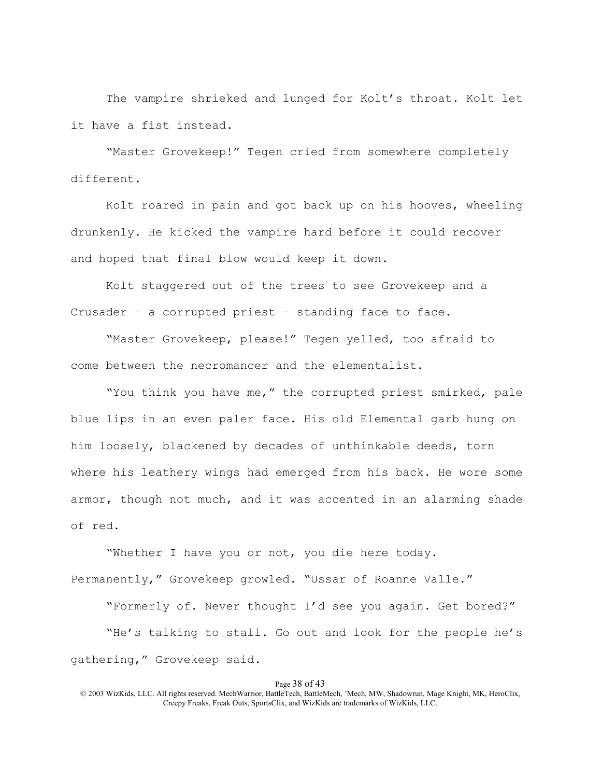The vampire shrieked and lunged for Kolt's throat. Kolt let it have a fist instead.

"Master Grovekeep!" Tegen cried from somewhere completely different.

Kolt roared in pain and got back up on his hooves, wheeling drunkenly. He kicked the vampire hard before it could recover and hoped that final blow would keep it down.

Kolt staggered out of the trees to see Grovekeep and a Crusader – a corrupted priest – standing face to face.

"Master Grovekeep, please!" Tegen yelled, too afraid to come between the necromancer and the elementalist.

"You think you have me," the corrupted priest smirked, pale blue lips in an even paler face. His old Elemental garb hung on him loosely, blackened by decades of unthinkable deeds, torn where his leathery wings had emerged from his back. He wore some armor, though not much, and it was accented in an alarming shade of red.

"Whether I have you or not, you die here today. Permanently," Grovekeep growled. "Ussar of Roanne Valle."

"Formerly of. Never thought I'd see you again. Get bored?" "He's talking to stall. Go out and look for the people he's gathering," Grovekeep said.

# Page 38 of 43

<sup>© 2003</sup> WizKids, LLC. All rights reserved. MechWarrior, BattleTech, BattleMech, 'Mech, MW, Shadowrun, Mage Knight, MK, HeroClix, Creepy Freaks, Freak Outs, SportsClix, and WizKids are trademarks of WizKids, LLC.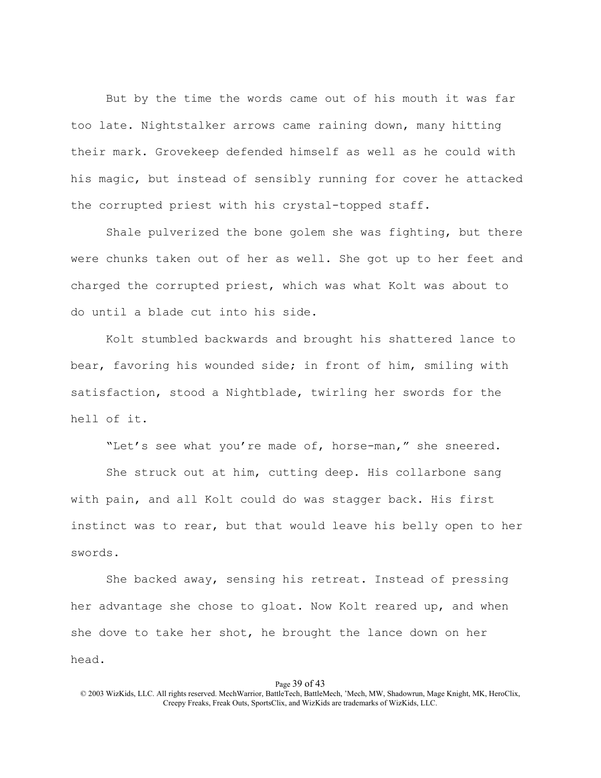But by the time the words came out of his mouth it was far too late. Nightstalker arrows came raining down, many hitting their mark. Grovekeep defended himself as well as he could with his magic, but instead of sensibly running for cover he attacked the corrupted priest with his crystal-topped staff.

Shale pulverized the bone golem she was fighting, but there were chunks taken out of her as well. She got up to her feet and charged the corrupted priest, which was what Kolt was about to do until a blade cut into his side.

Kolt stumbled backwards and brought his shattered lance to bear, favoring his wounded side; in front of him, smiling with satisfaction, stood a Nightblade, twirling her swords for the hell of it.

"Let's see what you're made of, horse-man," she sneered.

She struck out at him, cutting deep. His collarbone sang with pain, and all Kolt could do was stagger back. His first instinct was to rear, but that would leave his belly open to her swords.

She backed away, sensing his retreat. Instead of pressing her advantage she chose to gloat. Now Kolt reared up, and when she dove to take her shot, he brought the lance down on her head.

<sup>© 2003</sup> WizKids, LLC. All rights reserved. MechWarrior, BattleTech, BattleMech, 'Mech, MW, Shadowrun, Mage Knight, MK, HeroClix, Creepy Freaks, Freak Outs, SportsClix, and WizKids are trademarks of WizKids, LLC.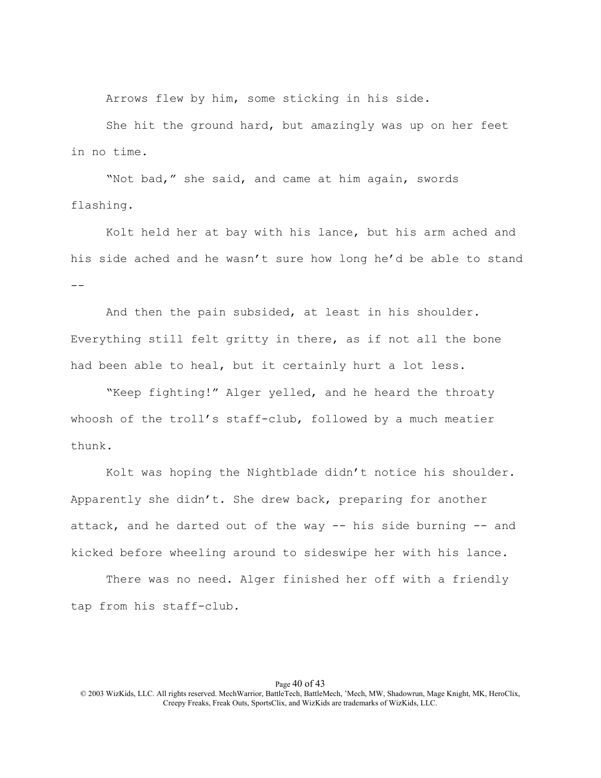Arrows flew by him, some sticking in his side.

She hit the ground hard, but amazingly was up on her feet in no time.

"Not bad," she said, and came at him again, swords flashing.

Kolt held her at bay with his lance, but his arm ached and his side ached and he wasn't sure how long he'd be able to stand --

And then the pain subsided, at least in his shoulder. Everything still felt gritty in there, as if not all the bone had been able to heal, but it certainly hurt a lot less.

"Keep fighting!" Alger yelled, and he heard the throaty whoosh of the troll's staff-club, followed by a much meatier thunk.

Kolt was hoping the Nightblade didn't notice his shoulder. Apparently she didn't. She drew back, preparing for another attack, and he darted out of the way -- his side burning -- and kicked before wheeling around to sideswipe her with his lance.

There was no need. Alger finished her off with a friendly tap from his staff-club.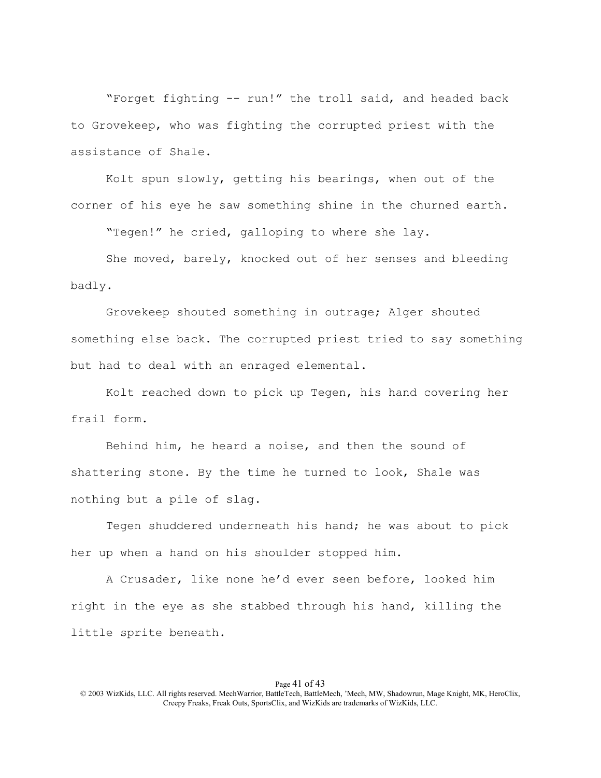"Forget fighting -- run!" the troll said, and headed back to Grovekeep, who was fighting the corrupted priest with the assistance of Shale.

Kolt spun slowly, getting his bearings, when out of the corner of his eye he saw something shine in the churned earth.

"Tegen!" he cried, galloping to where she lay.

She moved, barely, knocked out of her senses and bleeding badly.

Grovekeep shouted something in outrage; Alger shouted something else back. The corrupted priest tried to say something but had to deal with an enraged elemental.

Kolt reached down to pick up Tegen, his hand covering her frail form.

Behind him, he heard a noise, and then the sound of shattering stone. By the time he turned to look, Shale was nothing but a pile of slag.

Tegen shuddered underneath his hand; he was about to pick her up when a hand on his shoulder stopped him.

A Crusader, like none he'd ever seen before, looked him right in the eye as she stabbed through his hand, killing the little sprite beneath.

<sup>© 2003</sup> WizKids, LLC. All rights reserved. MechWarrior, BattleTech, BattleMech, 'Mech, MW, Shadowrun, Mage Knight, MK, HeroClix, Creepy Freaks, Freak Outs, SportsClix, and WizKids are trademarks of WizKids, LLC.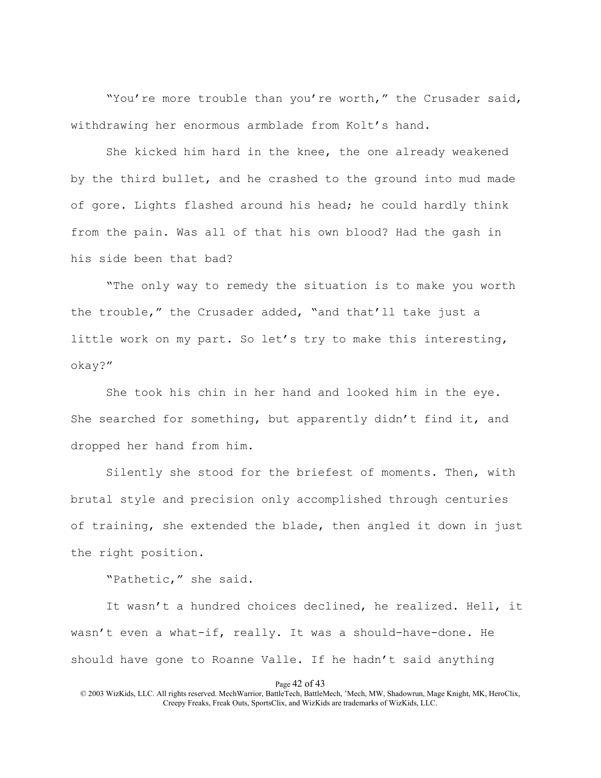"You're more trouble than you're worth," the Crusader said, withdrawing her enormous armblade from Kolt's hand.

She kicked him hard in the knee, the one already weakened by the third bullet, and he crashed to the ground into mud made of gore. Lights flashed around his head; he could hardly think from the pain. Was all of that his own blood? Had the gash in his side been that bad?

"The only way to remedy the situation is to make you worth the trouble," the Crusader added, "and that'll take just a little work on my part. So let's try to make this interesting, okay?"

She took his chin in her hand and looked him in the eye. She searched for something, but apparently didn't find it, and dropped her hand from him.

Silently she stood for the briefest of moments. Then, with brutal style and precision only accomplished through centuries of training, she extended the blade, then angled it down in just the right position.

"Pathetic," she said.

It wasn't a hundred choices declined, he realized. Hell, it wasn't even a what-if, really. It was a should-have-done. He should have gone to Roanne Valle. If he hadn't said anything

Page 42 of 43

<sup>© 2003</sup> WizKids, LLC. All rights reserved. MechWarrior, BattleTech, BattleMech, 'Mech, MW, Shadowrun, Mage Knight, MK, HeroClix, Creepy Freaks, Freak Outs, SportsClix, and WizKids are trademarks of WizKids, LLC.